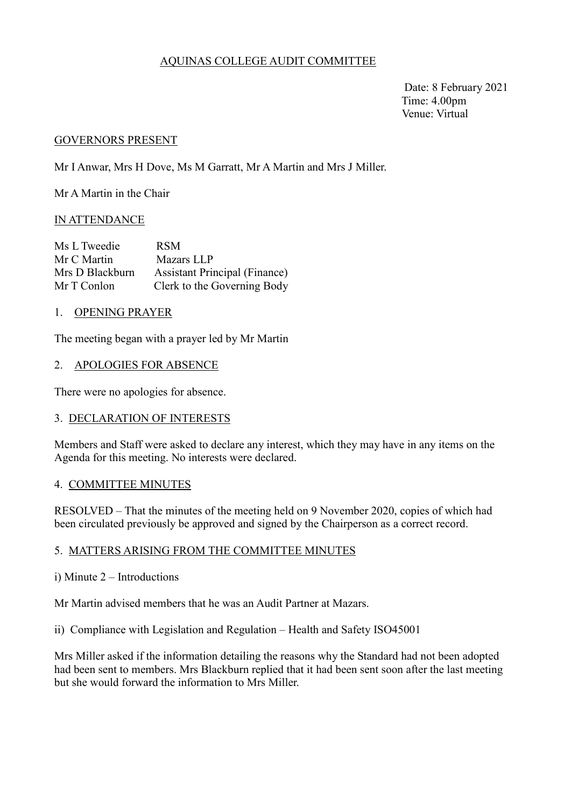# AQUINAS COLLEGE AUDIT COMMITTEE

 Date: 8 February 2021 Time: 4.00pm Venue: Virtual

#### GOVERNORS PRESENT

Mr I Anwar, Mrs H Dove, Ms M Garratt, Mr A Martin and Mrs J Miller.

Mr A Martin in the Chair

### IN ATTENDANCE

| Ms L Tweedie    | <b>RSM</b>                           |
|-----------------|--------------------------------------|
| Mr C Martin     | Mazars LLP                           |
| Mrs D Blackburn | <b>Assistant Principal (Finance)</b> |
| Mr T Conlon     | Clerk to the Governing Body          |

### 1. OPENING PRAYER

The meeting began with a prayer led by Mr Martin

### 2. APOLOGIES FOR ABSENCE

There were no apologies for absence.

### 3. DECLARATION OF INTERESTS

 Members and Staff were asked to declare any interest, which they may have in any items on the Agenda for this meeting. No interests were declared.

### 4. COMMITTEE MINUTES

RESOLVED – That the minutes of the meeting held on 9 November 2020, copies of which had been circulated previously be approved and signed by the Chairperson as a correct record.

### 5. MATTERS ARISING FROM THE COMMITTEE MINUTES

i) Minute 2 – Introductions

Mr Martin advised members that he was an Audit Partner at Mazars.

ii) Compliance with Legislation and Regulation – Health and Safety ISO45001

Mrs Miller asked if the information detailing the reasons why the Standard had not been adopted had been sent to members. Mrs Blackburn replied that it had been sent soon after the last meeting but she would forward the information to Mrs Miller.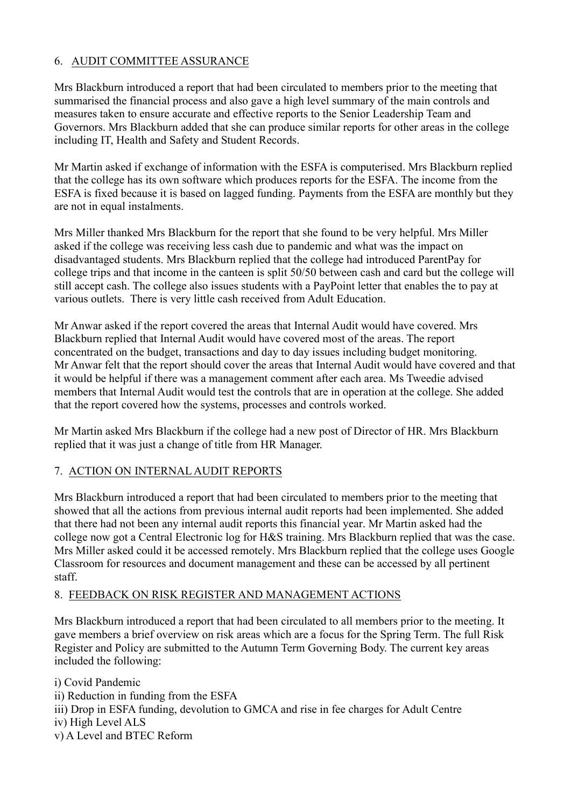# 6. AUDIT COMMITTEE ASSURANCE

Mrs Blackburn introduced a report that had been circulated to members prior to the meeting that summarised the financial process and also gave a high level summary of the main controls and measures taken to ensure accurate and effective reports to the Senior Leadership Team and Governors. Mrs Blackburn added that she can produce similar reports for other areas in the college including IT, Health and Safety and Student Records.

Mr Martin asked if exchange of information with the ESFA is computerised. Mrs Blackburn replied that the college has its own software which produces reports for the ESFA. The income from the ESFA is fixed because it is based on lagged funding. Payments from the ESFA are monthly but they are not in equal instalments.

Mrs Miller thanked Mrs Blackburn for the report that she found to be very helpful. Mrs Miller asked if the college was receiving less cash due to pandemic and what was the impact on disadvantaged students. Mrs Blackburn replied that the college had introduced ParentPay for college trips and that income in the canteen is split 50/50 between cash and card but the college will still accept cash. The college also issues students with a PayPoint letter that enables the to pay at various outlets. There is very little cash received from Adult Education.

Mr Anwar asked if the report covered the areas that Internal Audit would have covered. Mrs Blackburn replied that Internal Audit would have covered most of the areas. The report concentrated on the budget, transactions and day to day issues including budget monitoring. Mr Anwar felt that the report should cover the areas that Internal Audit would have covered and that it would be helpful if there was a management comment after each area. Ms Tweedie advised members that Internal Audit would test the controls that are in operation at the college. She added that the report covered how the systems, processes and controls worked.

Mr Martin asked Mrs Blackburn if the college had a new post of Director of HR. Mrs Blackburn replied that it was just a change of title from HR Manager.

# 7. ACTION ON INTERNAL AUDIT REPORTS

Mrs Blackburn introduced a report that had been circulated to members prior to the meeting that showed that all the actions from previous internal audit reports had been implemented. She added that there had not been any internal audit reports this financial year. Mr Martin asked had the college now got a Central Electronic log for H&S training. Mrs Blackburn replied that was the case. Mrs Miller asked could it be accessed remotely. Mrs Blackburn replied that the college uses Google Classroom for resources and document management and these can be accessed by all pertinent staff.

# 8. FEEDBACK ON RISK REGISTER AND MANAGEMENT ACTIONS

Mrs Blackburn introduced a report that had been circulated to all members prior to the meeting. It gave members a brief overview on risk areas which are a focus for the Spring Term. The full Risk Register and Policy are submitted to the Autumn Term Governing Body. The current key areas included the following:

i) Covid Pandemic ii) Reduction in funding from the ESFA iii) Drop in ESFA funding, devolution to GMCA and rise in fee charges for Adult Centre iv) High Level ALS v) A Level and BTEC Reform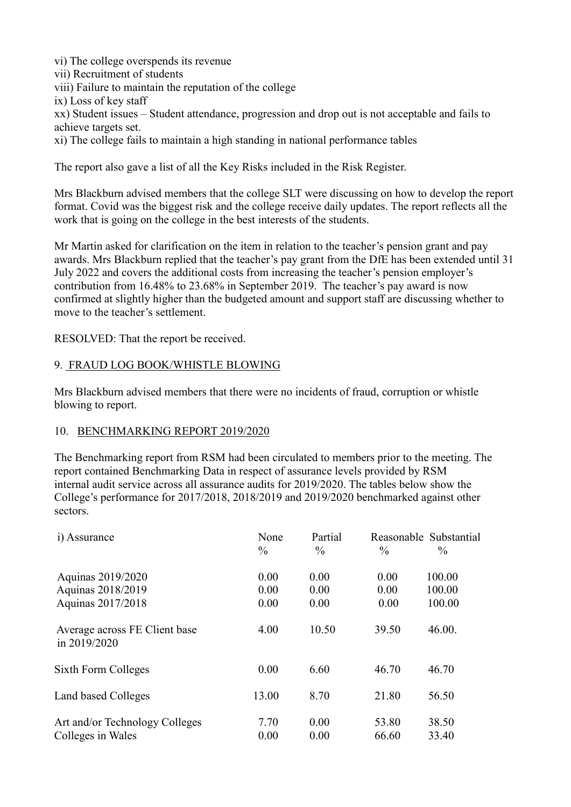vi) The college overspends its revenue

vii) Recruitment of students

viii) Failure to maintain the reputation of the college

ix) Loss of key staff

xx) Student issues – Student attendance, progression and drop out is not acceptable and fails to achieve targets set.

xi) The college fails to maintain a high standing in national performance tables

The report also gave a list of all the Key Risks included in the Risk Register.

Mrs Blackburn advised members that the college SLT were discussing on how to develop the report format. Covid was the biggest risk and the college receive daily updates. The report reflects all the work that is going on the college in the best interests of the students.

Mr Martin asked for clarification on the item in relation to the teacher's pension grant and pay awards. Mrs Blackburn replied that the teacher's pay grant from the DfE has been extended until 31 July 2022 and covers the additional costs from increasing the teacher's pension employer's contribution from 16.48% to 23.68% in September 2019. The teacher's pay award is now confirmed at slightly higher than the budgeted amount and support staff are discussing whether to move to the teacher's settlement.

RESOLVED: That the report be received.

# 9. FRAUD LOG BOOK/WHISTLE BLOWING

Mrs Blackburn advised members that there were no incidents of fraud, corruption or whistle blowing to report.

### 10. BENCHMARKING REPORT 2019/2020

The Benchmarking report from RSM had been circulated to members prior to the meeting. The report contained Benchmarking Data in respect of assurance levels provided by RSM internal audit service across all assurance audits for 2019/2020. The tables below show the College's performance for 2017/2018, 2018/2019 and 2019/2020 benchmarked against other sectors.

| i) Assurance                                        | None<br>$\frac{0}{0}$ | Partial<br>$\frac{0}{0}$ | $\frac{0}{0}$  | Reasonable Substantial<br>$\%$ |
|-----------------------------------------------------|-----------------------|--------------------------|----------------|--------------------------------|
| Aquinas 2019/2020<br>Aquinas 2018/2019              | 0.00<br>0.00          | 0.00<br>0.00             | 0.00<br>0.00   | 100.00<br>100.00               |
| Aquinas 2017/2018                                   | 0.00                  | 0.00                     | 0.00           | 100.00                         |
| Average across FE Client base<br>in 2019/2020       | 4.00                  | 10.50                    | 39.50          | 46.00.                         |
| Sixth Form Colleges                                 | 0.00                  | 6.60                     | 46.70          | 46.70                          |
| Land based Colleges                                 | 13.00                 | 8.70                     | 21.80          | 56.50                          |
| Art and/or Technology Colleges<br>Colleges in Wales | 7.70<br>0.00          | 0.00<br>0.00             | 53.80<br>66.60 | 38.50<br>33.40                 |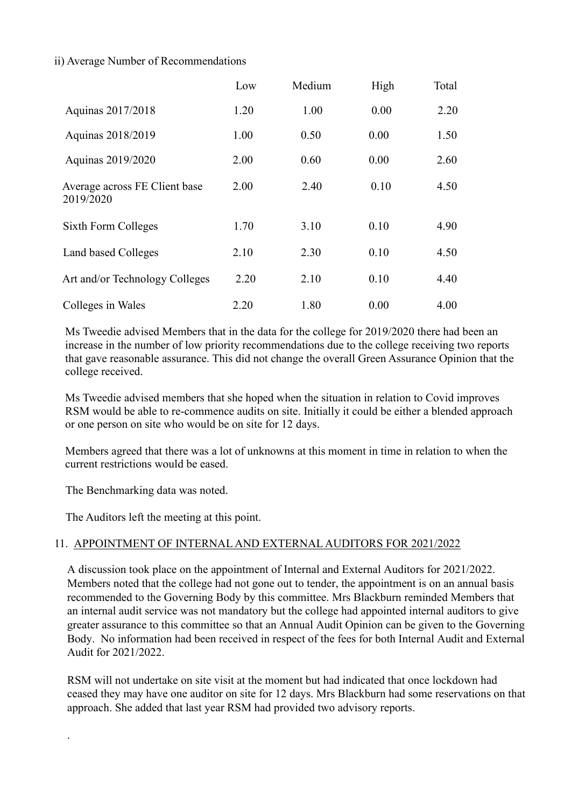# ii) Average Number of Recommendations

|                                            | Low  | Medium | High | Total |
|--------------------------------------------|------|--------|------|-------|
| Aquinas 2017/2018                          | 1.20 | 1.00   | 0.00 | 2.20  |
| Aquinas 2018/2019                          | 1.00 | 0.50   | 0.00 | 1.50  |
| Aquinas 2019/2020                          | 2.00 | 0.60   | 0.00 | 2.60  |
| Average across FE Client base<br>2019/2020 | 2.00 | 2.40   | 0.10 | 4.50  |
| Sixth Form Colleges                        | 1.70 | 3.10   | 0.10 | 4.90  |
| Land based Colleges                        | 2.10 | 2.30   | 0.10 | 4.50  |
| Art and/or Technology Colleges             | 2.20 | 2.10   | 0.10 | 4.40  |
| Colleges in Wales                          | 2.20 | 1.80   | 0.00 | 4.00  |

Ms Tweedie advised Members that in the data for the college for 2019/2020 there had been an increase in the number of low priority recommendations due to the college receiving two reports that gave reasonable assurance. This did not change the overall Green Assurance Opinion that the college received.

Ms Tweedie advised members that she hoped when the situation in relation to Covid improves RSM would be able to re-commence audits on site. Initially it could be either a blended approach or one person on site who would be on site for 12 days.

Members agreed that there was a lot of unknowns at this moment in time in relation to when the current restrictions would be eased.

The Benchmarking data was noted.

.

The Auditors left the meeting at this point.

# 11. APPOINTMENT OF INTERNAL AND EXTERNAL AUDITORS FOR 2021/2022

A discussion took place on the appointment of Internal and External Auditors for 2021/2022. Members noted that the college had not gone out to tender, the appointment is on an annual basis recommended to the Governing Body by this committee. Mrs Blackburn reminded Members that an internal audit service was not mandatory but the college had appointed internal auditors to give greater assurance to this committee so that an Annual Audit Opinion can be given to the Governing Body. No information had been received in respect of the fees for both Internal Audit and External Audit for 2021/2022.

RSM will not undertake on site visit at the moment but had indicated that once lockdown had ceased they may have one auditor on site for 12 days. Mrs Blackburn had some reservations on that approach. She added that last year RSM had provided two advisory reports.